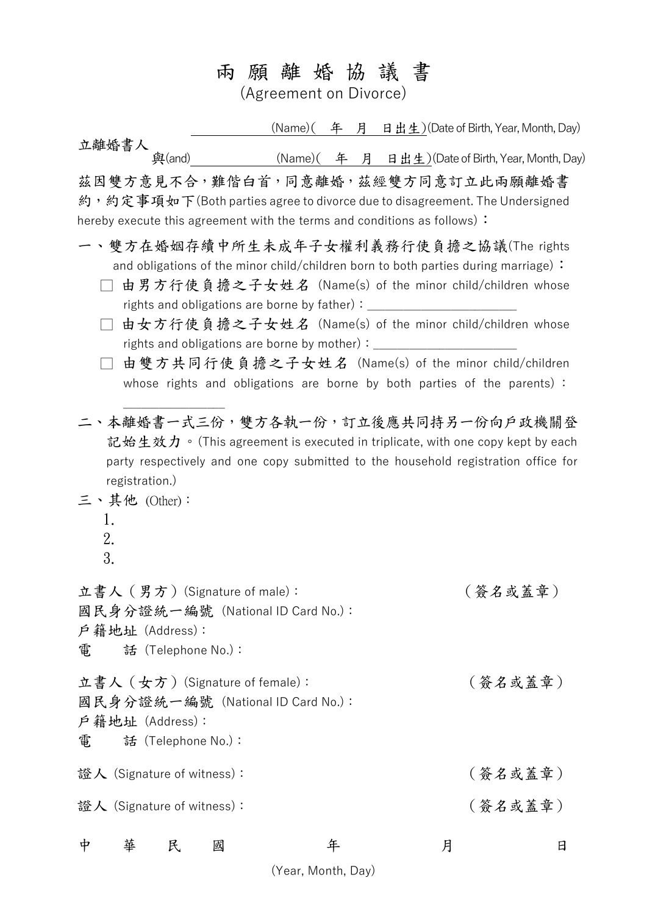## 兩 願 離 婚 協 議 書

(Agreement on Divorce)

立離婚書人<br>與(and) 與 (Name)( 年 月 日出生)(Date of Birth, Year, Month, Day) (Name)  $(4, 4, 4)$  日出生) (Date of Birth, Year, Month, Day) 茲因雙方意見不合,難偕白首,同意離婚,茲經雙方同意訂立此兩願離婚書 約,約定事項如下(Both parties agree to divorce due to disagreement. The Undersigned hereby execute this agreement with the terms and conditions as follows): 一、雙方在婚姻存續中所生未成年子女權利義務行使負擔之協議(The rights and obligations of the minor child/children born to both parties during marriage): □ 由男方行使負擔之子女姓名 (Name(s) of the minor child/children whose rights and obligations are borne by father): □ 由女方行使負擔之子女姓名 (Name(s) of the minor child/children whose rights and obligations are borne by mother): □ 由雙方共同行使負擔之子女姓名 (Name(s) of the minor child/children whose rights and obligations are borne by both parties of the parents) :  $\overline{\phantom{a}}$  , where  $\overline{\phantom{a}}$ 二、本離婚書一式三份,雙方各執一份,訂立後應共同持另一份向戶政機關登 記始生效力。(This agreement is executed in triplicate, with one copy kept by each party respectively and one copy submitted to the household registration office for registration.) 三、其他 (Other): 1. 2. 3. 立書人(男方)(Signature of male): (簽名或蓋章) 國民身分證統一編號 (National ID Card No.): 戶籍地址 (Address): 電 話 (Telephone No.): 立書人(女方)(Signature of female): (簽名或蓋章) 國民身分證統一編號 (National ID Card No.): 戶籍地址 (Address): 電 話 (Telephone No.): 證人 (Signature of witness): (簽名或蓋章) 證人 (Signature of witness): (簽名或蓋章) 中 華 民 國 年 月 日 (Year, Month, Day)